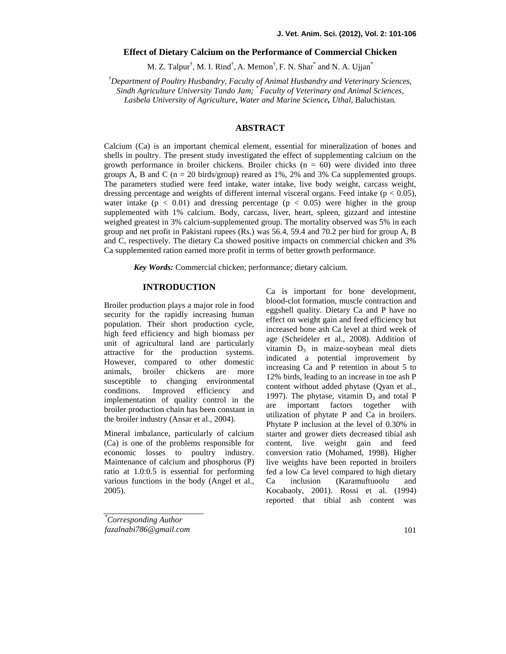# **Effect of Dietary Calcium on the Performance of Commercial Chicken**

M. Z. Talpur<sup>†</sup>, M. I. Rind<sup>†</sup>, A. Memon<sup>†</sup>, F. N. Shar<sup>\*</sup> and N. A. Ujjan<sup>\*</sup>

*†Department of Poultry Husbandry, Faculty of Animal Husbandry and Veterinary Sciences,*

*Sindh Agriculture University Tando Jam; \* Faculty of Veterinary and Animal Sciences,*

*Lasbela University of Agriculture, Water and Marine Science, Uthal,* Baluchistan*.*

# **ABSTRACT**

Calcium (Ca) is an important chemical element, essential for mineralization of bones and shells in poultry. The present study investigated the effect of supplementing calcium on the growth performance in broiler chickens. Broiler chicks  $(n = 60)$  were divided into three groups A, B and C ( $n = 20$  birds/group) reared as 1%, 2% and 3% Ca supplemented groups. The parameters studied were feed intake, water intake, live body weight, carcass weight, dressing percentage and weights of different internal visceral organs. Feed intake ( $p < 0.05$ ), water intake  $(p < 0.01)$  and dressing percentage  $(p < 0.05)$  were higher in the group supplemented with 1% calcium. Body, carcass, liver, heart, spleen, gizzard and intestine weighed greatest in 3% calcium-supplemented group. The mortality observed was 5% in each group and net profit in Pakistani rupees (Rs.) was 56.4, 59.4 and 70.2 per bird for group A, B and C, respectively. The dietary Ca showed positive impacts on commercial chicken and 3% Ca supplemented ration earned more profit in terms of better growth performance.

*Key Words:* Commercial chicken; performance; dietary calcium.

## **INTRODUCTION**

Broiler production plays a major role in food security for the rapidly increasing human population. Their short production cycle, high feed efficiency and high biomass per unit of agricultural land are particularly attractive for the production systems. However, compared to other domestic animals, broiler chickens are more susceptible to changing environmental conditions. Improved efficiency and implementation of quality control in the  $\frac{199}{\text{are}}$ broiler production chain has been constant in the broiler industry (Ansar et al., 2004).

Mineral imbalance, particularly of calcium (Ca) is one of the problems responsible for economic losses to poultry industry. Maintenance of calcium and phosphorus (P) ratio at 1.0:0.5 is essential for performing various functions in the body (Angel et al., Ca 2005).

Ca is important for bone development, blood-clot formation, muscle contraction and eggshell quality. Dietary Ca and P have no effect on weight gain and feed efficiency but increased bone ash Ca level at third week of age (Scheideler et al., 2008). Addition of vitamin  $D_3$  in maize-soybean meal diets indicated a potential improvement by increasing Ca and P retention in about 5 to 12% birds, leading to an increase in toe ash P content without added phytase (Qyan et al., 1997). The phytase, vitamin  $D_3$  and total P important factors together with utilization of phytate P and Ca in broilers. Phytate P inclusion at the level of 0.30% in starter and grower diets decreased tibial ash content, live weight gain and feed conversion ratio (Mohamed, 1998). Higher live weights have been reported in broilers fed a low Ca level compared to high dietary inclusion (Karamuftuoolu and Kocabaoly, 2001). Rossi et al. (1994) reported that tibial ash content was

*\*Corresponding Author fazalnabi786@gmail.com*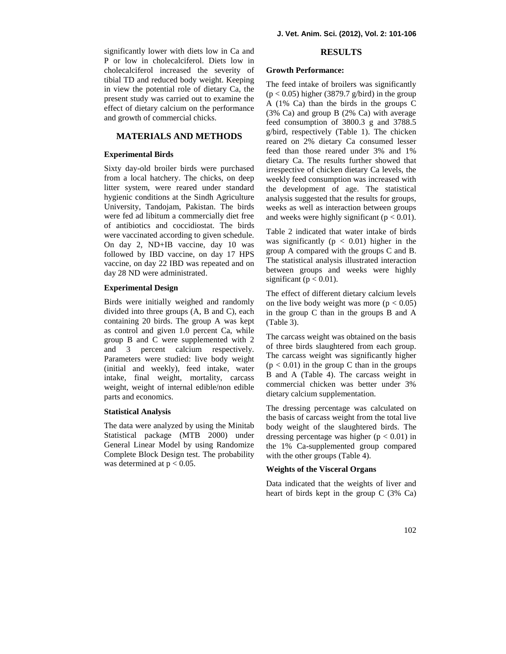significantly lower with diets low in Ca and P or low in cholecalciferol. Diets low in cholecalciferol increased the severity of tibial TD and reduced body weight. Keeping in view the potential role of dietary Ca, the present study was carried out to examine the effect of dietary calcium on the performance and growth of commercial chicks.

# **MATERIALS AND METHODS**

## **Experimental Birds**

Sixty day-old broiler birds were purchased from a local hatchery. The chicks, on deep litter system, were reared under standard hygienic conditions at the Sindh Agriculture University, Tandojam, Pakistan. The birds were fed ad libitum a commercially diet free of antibiotics and coccidiostat. The birds were vaccinated according to given schedule. On day 2, ND+IB vaccine, day 10 was followed by IBD vaccine, on day 17 HPS vaccine, on day 22 IBD was repeated and on day 28 ND were administrated.

## **Experimental Design**

Birds were initially weighed and randomly divided into three groups (A, B and C), each containing 20 birds. The group A was kept as control and given 1.0 percent Ca, while group B and C were supplemented with 2 and 3 percent calcium respectively. Parameters were studied: live body weight (initial and weekly), feed intake, water intake, final weight, mortality, carcass weight, weight of internal edible/non edible parts and economics.

## **Statistical Analysis**

The data were analyzed by using the Minitab Statistical package (MTB 2000) under General Linear Model by using Randomize Complete Block Design test. The probability was determined at  $p < 0.05$ .

## **RESULTS**

#### **Growth Performance:**

The feed intake of broilers was significantly  $(p < 0.05)$  higher (3879.7 g/bird) in the group A (1% Ca) than the birds in the groups C (3% Ca) and group B (2% Ca) with average feed consumption of 3800.3 g and 3788.5 g/bird, respectively (Table 1). The chicken reared on 2% dietary Ca consumed lesser feed than those reared under 3% and 1% dietary Ca. The results further showed that irrespective of chicken dietary Ca levels, the weekly feed consumption was increased with the development of age. The statistical analysis suggested that the results for groups, weeks as well as interaction between groups and weeks were highly significant ( $p < 0.01$ ).

Table 2 indicated that water intake of birds was significantly ( $p < 0.01$ ) higher in the group A compared with the groups C and B. The statistical analysis illustrated interaction between groups and weeks were highly significant ( $p < 0.01$ ).

The effect of different dietary calcium levels on the live body weight was more  $(p < 0.05)$ in the group C than in the groups B and A (Table 3).

The carcass weight was obtained on the basis of three birds slaughtered from each group. The carcass weight was significantly higher  $(p < 0.01)$  in the group C than in the groups B and A (Table 4). The carcass weight in commercial chicken was better under 3% dietary calcium supplementation.

The dressing percentage was calculated on the basis of carcass weight from the total live body weight of the slaughtered birds. The dressing percentage was higher  $(p < 0.01)$  in the 1% Ca-supplemented group compared with the other groups (Table 4).

## **Weights of the Visceral Organs**

Data indicated that the weights of liver and heart of birds kept in the group C (3% Ca)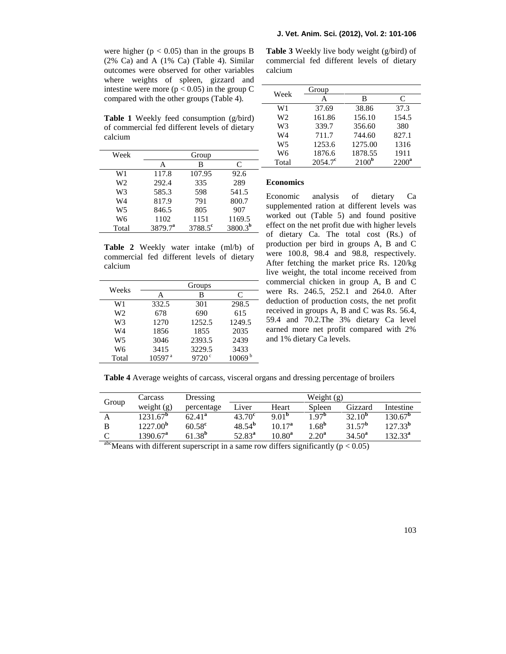were higher ( $p < 0.05$ ) than in the groups B  $(2\%$  Ca) and A  $(1\%$  Ca) (Table 4). Similar outcomes were observed for other variables where weights of spleen, gizzard and intestine were more ( $p < 0.05$ ) in the group C compared with the other groups (Table 4).

**Table 1** Weekly feed consumption (g/bird) of commercial fed different levels of dietary calcium

| Week  | Group      |                  |              |                      |
|-------|------------|------------------|--------------|----------------------|
|       | A          | В                | C            | Т١                   |
| W1    | 117.8      | 107.95           | 92.6         |                      |
| W2    | 292.4      | 335              | 289          | Eco:                 |
| W3    | 585.3      | 598              | 541.5        |                      |
| W4    | 817.9      | 791              | 800.7        | Eco                  |
| W5    | 846.5      | 805              | 907          | supp                 |
| W6    | 1102       | 1151             | 1169.5       | worl                 |
| Total | $3879.7^a$ | $3788.5^{\circ}$ | $3800.3^{b}$ | effe<br>$\mathbf{r}$ |

**Table 2** Weekly water intake (ml/b) of commercial fed different levels of dietary calcium

|                | Groups             |                     |                    |  |
|----------------|--------------------|---------------------|--------------------|--|
| Weeks          | А                  | В                   | C                  |  |
| W1             | 332.5              | 301                 | 298.5              |  |
| W <sub>2</sub> | 678                | 690                 | 615                |  |
| W <sub>3</sub> | 1270               | 1252.5              | 1249.5             |  |
| W4             | 1856               | 1855                | 2035               |  |
| W <sub>5</sub> | 3046               | 2393.5              | 2439               |  |
| W6             | 3415               | 3229.5              | 3433               |  |
| Total          | 10597 <sup>a</sup> | $9720$ <sup>c</sup> | 10069 <sup>b</sup> |  |

**Table 3** Weekly live body weight (g/bird) of commercial fed different levels of dietary calcium

|                | Group            |                   |          |
|----------------|------------------|-------------------|----------|
| Week           | А                | в                 | C        |
| W1             | 37.69            | 38.86             | 37.3     |
| W <sub>2</sub> | 161.86           | 156.10            | 154.5    |
| W <sub>3</sub> | 339.7            | 356.60            | 380      |
| W4             | 711.7            | 744.60            | 827.1    |
| W <sub>5</sub> | 1253.6           | 1275.00           | 1316     |
| W <sub>6</sub> | 1876.6           | 1878.55           | 1911     |
| Total          | $2054.7^{\circ}$ | 2100 <sup>b</sup> | $2200^a$ |

## **Economics**

Economic analysis of dietary Ca supplemented ration at different levels was worked out (Table 5) and found positive effect on the net profit due with higher levels of dietary Ca. The total cost (Rs.) of production per bird in groups A, B and C were 100.8, 98.4 and 98.8, respectively. After fetching the market price Rs. 120/kg live weight, the total income received from commercial chicken in group A, B and C were Rs. 246.5, 252.1 and 264.0. After deduction of production costs, the net profit received in groups A, B and C was Rs. 56.4, 59.4 and 70.2.The 3% dietary Ca level earned more net profit compared with 2% and 1% dietary Ca levels.

**Table 4** Average weights of carcass, visceral organs and dressing percentage of broilers

|           | Carcass                | Dressing        | Weight $(g)$    |                   |                  |                      |                  |
|-----------|------------------------|-----------------|-----------------|-------------------|------------------|----------------------|------------------|
| Group     | weight $(g)$           | percentage      | Liver           | Heart             | Spleen           | Gizzard              | Intestine        |
|           | $1231.67^{\mathrm{b}}$ | $62.41^a$       | $43.70^{\circ}$ | 9.01 <sup>b</sup> | .97 <sup>b</sup> | $32.10^{b}$          | $130.67^{\rm b}$ |
|           | $1227.00^{\rm b}$      | $60.58^{\rm c}$ | $48.54^{b}$     | $10.17^a$         | $1.68^{b}$       | $31.57^{\rm b}$      | $127.33^{b}$     |
|           | 1390.67 <sup>a</sup>   | $61.38^{b}$     | $52.83^{a}$     | $10.80^a$         | $2.20^a$         | $34.50^a$            | $132.33^a$       |
| $abc - c$ | $\cdots$               |                 |                 | $\cdots$          | $\sim$           | $\sim$ $\sim$ $\sim$ |                  |

<sup>abc</sup>Means with different superscript in a same row differs significantly ( $p < 0.05$ )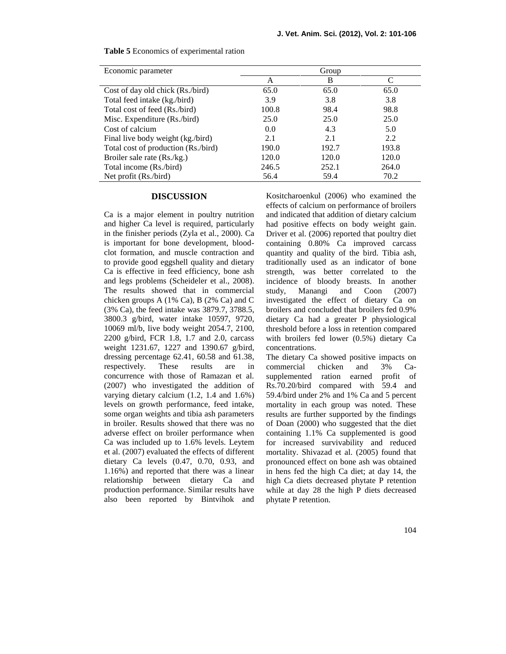| Economic parameter                  | Group |       |       |  |
|-------------------------------------|-------|-------|-------|--|
|                                     | А     | B     |       |  |
| Cost of day old chick (Rs./bird)    | 65.0  | 65.0  | 65.0  |  |
| Total feed intake (kg./bird)        | 3.9   | 3.8   | 3.8   |  |
| Total cost of feed (Rs./bird)       | 100.8 | 98.4  | 98.8  |  |
| Misc. Expenditure (Rs./bird)        | 25.0  | 25.0  | 25.0  |  |
| Cost of calcium                     | 0.0   | 4.3   | 5.0   |  |
| Final live body weight (kg./bird)   | 2.1   | 2.1   | 2.2   |  |
| Total cost of production (Rs./bird) | 190.0 | 192.7 | 193.8 |  |
| Broiler sale rate (Rs./kg.)         | 120.0 | 120.0 | 120.0 |  |
| Total income (Rs./bird)             | 246.5 | 252.1 | 264.0 |  |
| Net profit (Rs./bird)               | 56.4  | 59.4  | 70.2  |  |

**Table 5** Economics of experimental ration

### **DISCUSSION**

Ca is a major element in poultry nutrition and higher Ca level is required, particularly in the finisher periods (Zyla et al., 2000). Ca is important for bone development, blood clot formation, and muscle contraction and to provide good eggshell quality and dietary Ca is effective in feed efficiency, bone ash and legs problems (Scheideler et al., 2008). The results showed that in commercial chicken groups A (1% Ca), B (2% Ca) and C (3% Ca), the feed intake was 3879.7, 3788.5, 3800.3 g/bird, water intake 10597, 9720, 10069 ml/b, live body weight 2054.7, 2100, 2200 g/bird, FCR 1.8, 1.7 and 2.0, carcass weight 1231.67, 1227 and 1390.67 g/bird, dressing percentage 62.41, 60.58 and 61.38, respectively. These results are in concurrence with those of Ramazan et al. (2007) who investigated the addition of varying dietary calcium (1.2, 1.4 and 1.6%) levels on growth performance, feed intake, some organ weights and tibia ash parameters in broiler. Results showed that there was no adverse effect on broiler performance when Ca was included up to 1.6% levels. Leytem et al. (2007) evaluated the effects of different dietary Ca levels (0.47, 0.70, 0.93, and 1.16%) and reported that there was a linear relationship between dietary Ca and production performance. Similar results have also been reported by Bintvihok and

Kositcharoenkul (2006) who examined the effects of calcium on performance of broilers and indicated that addition of dietary calcium had positive effects on body weight gain. Driver et al. (2006) reported that poultry diet containing 0.80% Ca improved carcass quantity and quality of the bird. Tibia ash, traditionally used as an indicator of bone strength, was better correlated to the incidence of bloody breasts. In another study, Manangi and Coon (2007) investigated the effect of dietary Ca on broilers and concluded that broilers fed 0.9% dietary Ca had a greater P physiological threshold before a loss in retention compared with broilers fed lower (0.5%) dietary Ca concentrations.

The dietary Ca showed positive impacts on commercial chicken and 3% Ca supplemented ration earned profit of Rs.70.20/bird compared with 59.4 and 59.4/bird under 2% and 1% Ca and 5 percent mortality in each group was noted. These results are further supported by the findings of Doan (2000) who suggested that the diet containing 1.1% Ca supplemented is good for increased survivability and reduced mortality. Shivazad et al. (2005) found that pronounced effect on bone ash was obtained in hens fed the high Ca diet; at day 14, the high Ca diets decreased phytate P retention while at day 28 the high P diets decreased phytate P retention.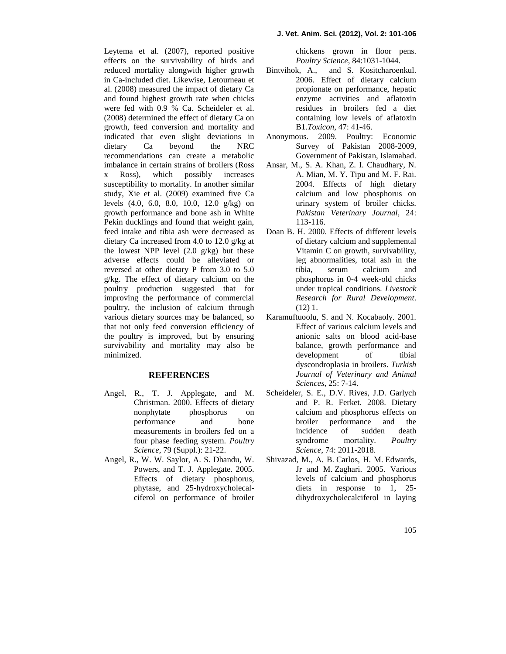#### **J. Vet. Anim. Sci. (2012), Vol. 2: 101-106**

chickens grown in floor pens. *Poultry Science*, 84:1031-1044.

- and S. Kositcharoenkul. 2006. Effect of dietary calcium propionate on performance, hepatic enzyme activities and aflatoxin residues in broilers fed a diet containing low levels of aflatoxin B1.*Toxicon*, 47: 41-46.
- Anonymous. 2009. Poultry: Economic Survey of Pakistan 2008-2009, Government of Pakistan, Islamabad.
- Ansar, M., S. A. Khan, Z. I. Chaudhary, N. A. Mian, M. Y. Tipu and M. F. Rai. 2004. Effects of high dietary calcium and low phosphorus on urinary system of broiler chicks. *Pakistan Veterinary Journal*, 24: 113-116.
- Doan B. H. 2000. Effects of different levels of dietary calcium and supplemental Vitamin C on growth, survivability, leg abnormalities, total ash in the tibia, serum calcium and phosphorus in 0-4 week-old chicks under tropical conditions. *Livestock Research for Rural Development*. (12) 1.
- Karamuftuoolu, S. and N. Kocabaoly. 2001. Effect of various calcium levels and anionic salts on blood acid-base balance, growth performance and development of tibial dyscondroplasia in broilers. *Turkish Journal of Veterinary and Animal Sciences*, 25: 7-14.
- Scheideler, S. E., D.V. Rives, J.D. Garlych and P. R. Ferket. 2008. Dietary calcium and phosphorus effects on broiler performance and the incidence of sudden death syndrome mortality. *Poultry Science*, 74: 2011-2018.
- Shivazad, M., A. B. Carlos, H. M. Edwards, Jr and M. Zaghari. 2005. Various levels of calcium and phosphorus diets in response to 1, 25dihydroxycholecalciferol in laying

effects on the survivability of birds and reduced mortality alongwith higher growth Bintvihok, A., in Ca-included diet. Likewise, Letourneau et al. (2008) measured the impact of dietary Ca and found highest growth rate when chicks were fed with 0.9 % Ca. Scheideler et al. (2008) determined the effect of dietary Ca on growth, feed conversion and mortality and indicated that even slight deviations in dietary Ca beyond the NRC recommendations can create a metabolic imbalance in certain strains of broilers (Ross x Ross), which possibly increases susceptibility to mortality. In another similar study, Xie et al. (2009) examined five Ca levels (4.0, 6.0, 8.0, 10.0, 12.0 g/kg) on growth performance and bone ash in White Pekin ducklings and found that weight gain, feed intake and tibia ash were decreased as dietary Ca increased from 4.0 to 12.0 g/kg at the lowest NPP level  $(2.0 \text{ g/kg})$  but these adverse effects could be alleviated or reversed at other dietary P from 3.0 to 5.0 g/kg. The effect of dietary calcium on the poultry production suggested that for improving the performance of commercial poultry, the inclusion of calcium through various dietary sources may be balanced, so that not only feed conversion efficiency of the poultry is improved, but by ensuring survivability and mortality may also be minimized.

Leytema et al. (2007), reported positive

## **REFERENCES**

- Angel, R., T. J. Applegate, and M. Christman. 2000. Effects of dietary nonphytate phosphorus on performance and bone measurements in broilers fed on a four phase feeding system. *Poultry Science*, 79 (Suppl.): 21-22.
- Angel, R., W. W. Saylor, A. S. Dhandu, W. Powers, and T. J. Applegate. 2005. Effects of dietary phosphorus, phytase, and 25-hydroxycholecal ciferol on performance of broiler